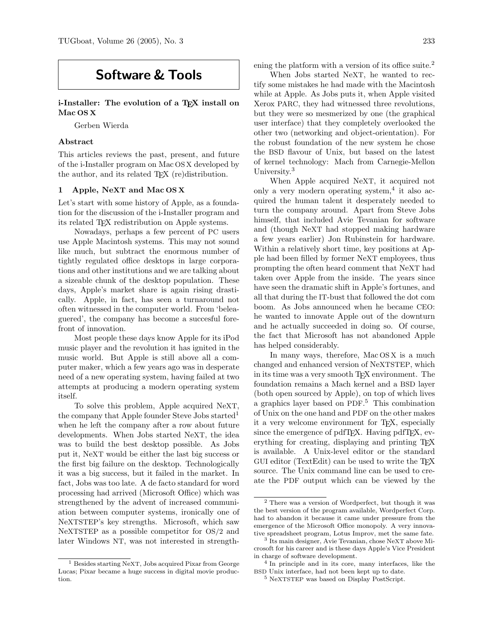# Software & Tools

i-Installer: The evolution of a T<sub>E</sub>X install on Mac OS X

Gerben Wierda

# Abstract

This articles reviews the past, present, and future of the i-Installer program on Mac OS X developed by the author, and its related TEX (re)distribution.

## 1 Apple, NeXT and Mac OS X

Let's start with some history of Apple, as a foundation for the discussion of the i-Installer program and its related TEX redistribution on Apple systems.

Nowadays, perhaps a few percent of PC users use Apple Macintosh systems. This may not sound like much, but subtract the enormous number of tightly regulated office desktops in large corporations and other institutions and we are talking about a sizeable chunk of the desktop population. These days, Apple's market share is again rising drastically. Apple, in fact, has seen a turnaround not often witnessed in the computer world. From 'beleaguered', the company has become a succesful forefront of innovation.

Most people these days know Apple for its iPod music player and the revolution it has ignited in the music world. But Apple is still above all a computer maker, which a few years ago was in desperate need of a new operating system, having failed at two attempts at producing a modern operating system itself.

To solve this problem, Apple acquired NeXT, the company that Apple founder Steve Jobs started<sup>1</sup> when he left the company after a row about future developments. When Jobs started NeXT, the idea was to build the best desktop possible. As Jobs put it, NeXT would be either the last big success or the first big failure on the desktop. Technologically it was a big success, but it failed in the market. In fact, Jobs was too late. A de facto standard for word processing had arrived (Microsoft Office) which was strengthened by the advent of increased communiation between computer systems, ironically one of NeXTSTEP's key strengths. Microsoft, which saw NeXTSTEP as a possible competitor for OS/2 and later Windows NT, was not interested in strengthening the platform with a version of its office suite.<sup>2</sup>

When Jobs started NeXT, he wanted to rectify some mistakes he had made with the Macintosh while at Apple. As Jobs puts it, when Apple visited Xerox PARC, they had witnessed three revolutions, but they were so mesmerized by one (the graphical user interface) that they completely overlooked the other two (networking and object-orientation). For the robust foundation of the new system he chose the BSD flavour of Unix, but based on the latest of kernel technology: Mach from Carnegie-Mellon University.<sup>3</sup>

When Apple acquired NeXT, it acquired not only a very modern operating system,<sup>4</sup> it also acquired the human talent it desperately needed to turn the company around. Apart from Steve Jobs himself, that included Avie Tevanian for software and (though NeXT had stopped making hardware a few years earlier) Jon Rubinstein for hardware. Within a relatively short time, key positions at Apple had been filled by former NeXT employees, thus prompting the often heard comment that NeXT had taken over Apple from the inside. The years since have seen the dramatic shift in Apple's fortunes, and all that during the IT-bust that followed the dot com boom. As Jobs announced when he became CEO: he wanted to innovate Apple out of the downturn and he actually succeeded in doing so. Of course, the fact that Microsoft has not abandoned Apple has helped considerably.

In many ways, therefore, Mac OS X is a much changed and enhanced version of NeXTSTEP, which in its time was a very smooth T<sub>EX</sub> environment. The foundation remains a Mach kernel and a BSD layer (both open sourced by Apple), on top of which lives a graphics layer based on PDF. <sup>5</sup> This combination of Unix on the one hand and PDF on the other makes it a very welcome environment for TEX, especially since the emergence of pdfT<sub>E</sub>X. Having pdfT<sub>E</sub>X, everything for creating, displaying and printing T<sub>E</sub>X is available. A Unix-level editor or the standard GUI editor (TextEdit) can be used to write the TEX source. The Unix command line can be used to create the PDF output which can be viewed by the

<sup>1</sup> Besides starting NeXT, Jobs acquired Pixar from George Lucas; Pixar became a huge success in digital movie production.

<sup>2</sup> There was a version of Wordperfect, but though it was the best version of the program available, Wordperfect Corp. had to abandon it because it came under pressure from the emergence of the Microsoft Office monopoly. A very innovative spreadsheet program, Lotus Improv, met the same fate.

<sup>3</sup> Its main designer, Avie Tevanian, chose NeXT above Microsoft for his career and is these days Apple's Vice President in charge of software development.

<sup>4</sup> In principle and in its core, many interfaces, like the BSD Unix interface, had not been kept up to date.

<sup>5</sup> NeXTSTEP was based on Display PostScript.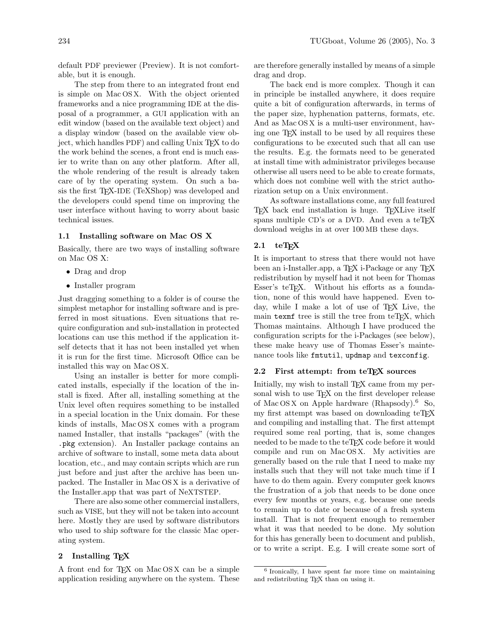default PDF previewer (Preview). It is not comfortable, but it is enough.

The step from there to an integrated front end is simple on Mac OS X. With the object oriented frameworks and a nice programming IDE at the disposal of a programmer, a GUI application with an edit window (based on the available text object) and a display window (based on the available view object, which handles PDF) and calling Unix TEX to do the work behind the scenes, a front end is much easier to write than on any other platform. After all, the whole rendering of the result is already taken care of by the operating system. On such a basis the first TEX-IDE (TeXShop) was developed and the developers could spend time on improving the user interface without having to worry about basic technical issues.

## 1.1 Installing software on Mac OS X

Basically, there are two ways of installing software on Mac OS X:

- Drag and drop
- Installer program

Just dragging something to a folder is of course the simplest metaphor for installing software and is preferred in most situations. Even situations that require configuration and sub-installation in protected locations can use this method if the application itself detects that it has not been installed yet when it is run for the first time. Microsoft Office can be installed this way on Mac OS X.

Using an installer is better for more complicated installs, especially if the location of the install is fixed. After all, installing something at the Unix level often requires something to be installed in a special location in the Unix domain. For these kinds of installs, Mac OS X comes with a program named Installer, that installs "packages" (with the .pkg extension). An Installer package contains an archive of software to install, some meta data about location, etc., and may contain scripts which are run just before and just after the archive has been unpacked. The Installer in Mac OS X is a derivative of the Installer.app that was part of NeXTSTEP.

There are also some other commercial installers, such as VISE, but they will not be taken into account here. Mostly they are used by software distributors who used to ship software for the classic Mac operating system.

# 2 Installing TEX

A front end for TEX on Mac OS X can be a simple application residing anywhere on the system. These are therefore generally installed by means of a simple drag and drop.

The back end is more complex. Though it can in principle be installed anywhere, it does require quite a bit of configuration afterwards, in terms of the paper size, hyphenation patterns, formats, etc. And as Mac OS X is a multi-user environment, having one TEX install to be used by all requires these configurations to be executed such that all can use the results. E.g. the formats need to be generated at install time with administrator privileges because otherwise all users need to be able to create formats, which does not combine well with the strict authorization setup on a Unix environment.

As software installations come, any full featured TEX back end installation is huge. TEX Live itself spans multiple CD's or a DVD. And even a teT<sub>EX</sub> download weighs in at over 100 MB these days.

# $2.1$  teTFX

It is important to stress that there would not have been an i-Installer.app, a T<sub>F</sub>X i-Package or any T<sub>F</sub>X redistribution by myself had it not been for Thomas Esser's teT<sub>F</sub>X. Without his efforts as a foundation, none of this would have happened. Even today, while I make a lot of use of T<sub>EX</sub> Live, the main texmf tree is still the tree from  $teTFX$ , which Thomas maintains. Although I have produced the configuration scripts for the i-Packages (see below), these make heavy use of Thomas Esser's maintenance tools like fmtutil, updmap and texconfig.

#### 2.2 First attempt: from teT<sub>F</sub>X sources

Initially, my wish to install T<sub>EX</sub> came from my personal wish to use T<sub>E</sub>X on the first developer release of Mac OS X on Apple hardware (Rhapsody).<sup>6</sup> So, my first attempt was based on downloading teTEX and compiling and installing that. The first attempt required some real porting, that is, some changes needed to be made to the teT<sub>F</sub>X code before it would compile and run on Mac OS X. My activities are generally based on the rule that I need to make my installs such that they will not take much time if I have to do them again. Every computer geek knows the frustration of a job that needs to be done once every few months or years, e.g. because one needs to remain up to date or because of a fresh system install. That is not frequent enough to remember what it was that needed to be done. My solution for this has generally been to document and publish, or to write a script. E.g. I will create some sort of

<sup>6</sup> Ironically, I have spent far more time on maintaining and redistributing T<sub>E</sub>X than on using it.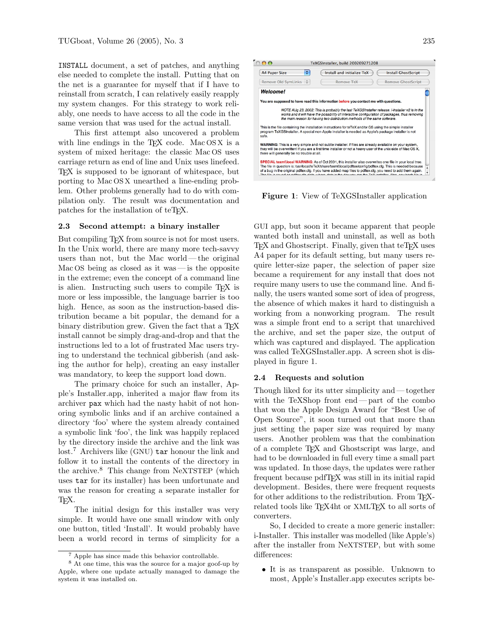INSTALL document, a set of patches, and anything else needed to complete the install. Putting that on the net is a guarantee for myself that if I have to reinstall from scratch, I can relatively easily reapply my system changes. For this strategy to work reliably, one needs to have access to all the code in the same version that was used for the actual install.

This first attempt also uncovered a problem with line endings in the  $TFX$  code. Mac  $OSX$  is a system of mixed heritage: the classic Mac OS uses carriage return as end of line and Unix uses linefeed. TEX is supposed to be ignorant of whitespace, but porting to Mac OS X unearthed a line-ending problem. Other problems generally had to do with compilation only. The result was documentation and patches for the installation of teTEX.

# 2.3 Second attempt: a binary installer

But compiling T<sub>E</sub>X from source is not for most users. In the Unix world, there are many more tech-savvy users than not, but the Mac world— the original Mac OS being as closed as it was  $\frac{1}{10}$  is the opposite in the extreme; even the concept of a command line is alien. Instructing such users to compile T<sub>E</sub>X is more or less impossible, the language barrier is too high. Hence, as soon as the instruction-based distribution became a bit popular, the demand for a binary distribution grew. Given the fact that a T<sub>EX</sub> install cannot be simply drag-and-drop and that the instructions led to a lot of frustrated Mac users trying to understand the technical gibberish (and asking the author for help), creating an easy installer was mandatory, to keep the support load down.

The primary choice for such an installer, Apple's Installer.app, inherited a major flaw from its archiver pax which had the nasty habit of not honoring symbolic links and if an archive contained a directory 'foo' where the system already contained a symbolic link 'foo', the link was happily replaced by the directory inside the archive and the link was lost.<sup>7</sup> Archivers like (GNU) tar honour the link and follow it to install the contents of the directory in the archive.<sup>8</sup> This change from NeXTSTEP (which uses tar for its installer) has been unfortunate and was the reason for creating a separate installer for TEX.

The initial design for this installer was very simple. It would have one small window with only one button, titled 'Install'. It would probably have been a world record in terms of simplicity for a



Figure 1: View of TeXGSInstaller application

GUI app, but soon it became apparent that people wanted both install and uninstall, as well as both T<sub>EX</sub> and Ghostscript. Finally, given that teT<sub>EX</sub> uses A4 paper for its default setting, but many users require letter-size paper, the selection of paper size became a requirement for any install that does not require many users to use the command line. And finally, the users wanted some sort of idea of progress, the absence of which makes it hard to distinguish a working from a nonworking program. The result was a simple front end to a script that unarchived the archive, and set the paper size, the output of which was captured and displayed. The application was called TeXGSInstaller.app. A screen shot is displayed in figure 1.

## 2.4 Requests and solution

Though liked for its utter simplicity and— together with the TeXShop front end— part of the combo that won the Apple Design Award for "Best Use of Open Source", it soon turned out that more than just setting the paper size was required by many users. Another problem was that the combination of a complete TEX and Ghostscript was large, and had to be downloaded in full every time a small part was updated. In those days, the updates were rather frequent because pdfTEX was still in its initial rapid development. Besides, there were frequent requests for other additions to the redistribution. From T<sub>EX</sub>related tools like TEX4ht or XMLTEX to all sorts of converters.

So, I decided to create a more generic installer: i-Installer. This installer was modelled (like Apple's) after the installer from NeXTSTEP, but with some differences:

• It is as transparent as possible. Unknown to most, Apple's Installer.app executes scripts be-

<sup>7</sup> Apple has since made this behavior controllable.

<sup>8</sup> At one time, this was the source for a major goof-up by Apple, where one update actually managed to damage the system it was installed on.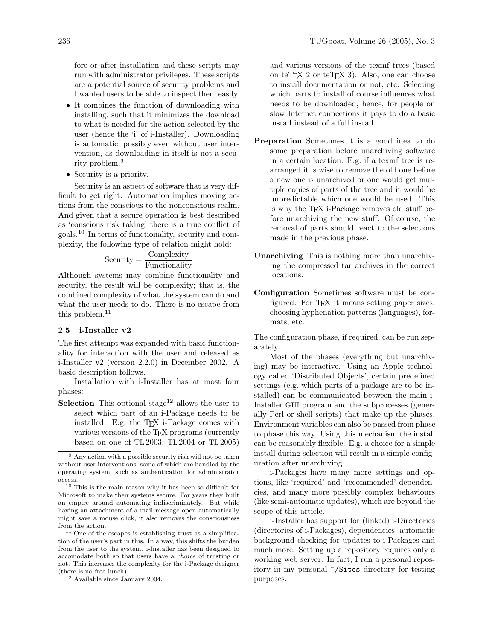fore or after installation and these scripts may run with administrator privileges. These scripts are a potential source of security problems and I wanted users to be able to inspect them easily.

- It combines the function of downloading with installing, such that it minimizes the download to what is needed for the action selected by the user (hence the 'i' of i-Installer). Downloading is automatic, possibly even without user intervention, as downloading in itself is not a security problem.<sup>9</sup>
- Security is a priority.

Security is an aspect of software that is very difficult to get right. Automation implies moving actions from the conscious to the nonconscious realm. And given that a secure operation is best described as 'conscious risk taking' there is a true conflict of goals.<sup>10</sup> In terms of functionality, security and complexity, the following type of relation might hold:

$$
Security = \frac{Complexity}{Functionality}
$$

Although systems may combine functionality and security, the result will be complexity; that is, the combined complexity of what the system can do and what the user needs to do. There is no escape from this problem.<sup>11</sup>

#### 2.5 i-Installer v2

The first attempt was expanded with basic functionality for interaction with the user and released as i-Installer v2 (version 2.2.0) in December 2002. A basic description follows.

Installation with i-Installer has at most four phases:

**Selection** This optional stage<sup>12</sup> allows the user to select which part of an i-Package needs to be installed. E.g. the TEX i-Package comes with various versions of the TEX programs (currently based on one of TL 2003, TL 2004 or TL 2005)

and various versions of the texmf trees (based on teT $EX$  2 or teT $EX$  3). Also, one can choose to install documentation or not, etc. Selecting which parts to install of course influences what needs to be downloaded, hence, for people on slow Internet connections it pays to do a basic install instead of a full install.

- Preparation Sometimes it is a good idea to do some preparation before unarchiving software in a certain location. E.g. if a texmf tree is rearranged it is wise to remove the old one before a new one is unarchived or one would get multiple copies of parts of the tree and it would be unpredictable which one would be used. This is why the TFX i-Package removes old stuff before unarchiving the new stuff. Of course, the removal of parts should react to the selections made in the previous phase.
- Unarchiving This is nothing more than unarchiving the compressed tar archives in the correct locations.
- Configuration Sometimes software must be configured. For T<sub>F</sub>X it means setting paper sizes, choosing hyphenation patterns (languages), formats, etc.

The configuration phase, if required, can be run separately.

Most of the phases (everything but unarchiving) may be interactive. Using an Apple technology called 'Distributed Objects', certain predefined settings (e.g. which parts of a package are to be installed) can be communicated between the main i-Installer GUI program and the subprocesses (generally Perl or shell scripts) that make up the phases. Environment variables can also be passed from phase to phase this way. Using this mechanism the install can be reasonably flexible. E.g. a choice for a simple install during selection will result in a simple configuration after unarchiving.

i-Packages have many more settings and options, like 'required' and 'recommended' dependencies, and many more possibly complex behaviours (like semi-automatic updates), which are beyond the scope of this article.

i-Installer has support for (linked) i-Directories (directories of i-Packages), dependencies, automatic background checking for updates to i-Packages and much more. Setting up a repository requires only a working web server. In fact, I run a personal repository in my personal ~/Sites directory for testing purposes.

 $9 \text{ Any action with a possible security risk will not be taken}$ without user interventions, some of which are handled by the operating system, such as authentication for administrator access.

<sup>10</sup> This is the main reason why it has been so difficult for Microsoft to make their systems secure. For years they built an empire around automating indiscriminately. But while having an attachment of a mail message open automatically might save a mouse click, it also removes the consciousness from the action.

<sup>11</sup> One of the escapes is establishing trust as a simplification of the user's part in this. In a way, this shifts the burden from the user to the system. i-Installer has been designed to accomodate both so that users have a choice of trusting or not. This increases the complexity for the i-Package designer (there is no free lunch).

<sup>12</sup> Available since January 2004.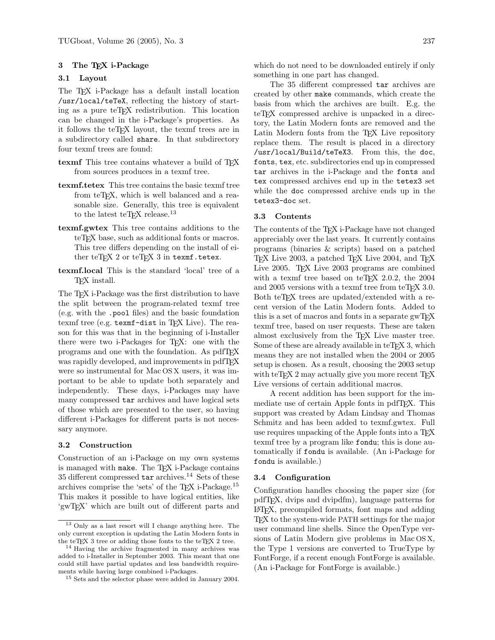## 3 The TEX i-Package

## 3.1 Layout

The T<sub>EX</sub> i-Package has a default install location /usr/local/teTeX, reflecting the history of starting as a pure teT<sub>E</sub>X redistribution. This location can be changed in the i-Package's properties. As it follows the teTEX layout, the texmf trees are in a subdirectory called share. In that subdirectory four texmf trees are found:

- texmf This tree contains whatever a build of T<sub>EX</sub> from sources produces in a texmf tree.
- texmf.tetex This tree contains the basic texmf tree from teT<sub>F</sub>X, which is well balanced and a reasonable size. Generally, this tree is equivalent to the latest teTFX release.<sup>13</sup>
- texmf.gwtex This tree contains additions to the teT<sub>F</sub>X base, such as additional fonts or macros. This tree differs depending on the install of either teTEX 2 or teTEX 3 in texmf.tetex.
- texmf.local This is the standard 'local' tree of a TEX install.

The TEX i-Package was the first distribution to have the split between the program-related texmf tree (e.g. with the .pool files) and the basic foundation texmf tree (e.g. texmf-dist in TEX Live). The reason for this was that in the beginning of i-Installer there were two i-Packages for TEX: one with the programs and one with the foundation. As pdfTEX was rapidly developed, and improvements in pdfTFX were so instrumental for Mac OS X users, it was important to be able to update both separately and independently. These days, i-Packages may have many compressed tar archives and have logical sets of those which are presented to the user, so having different i-Packages for different parts is not necessary anymore.

## 3.2 Construction

Construction of an i-Package on my own systems is managed with make. The TFX i-Package contains  $35$  different compressed  $\tan$  archives.  $^{14}$  Sets of these archives comprise the 'sets' of the TEX i-Package.<sup>15</sup> This makes it possible to have logical entities, like 'gwTEX' which are built out of different parts and which do not need to be downloaded entirely if only something in one part has changed.

The 35 different compressed tar archives are created by other make commands, which create the basis from which the archives are built. E.g. the teT<sub>EX</sub> compressed archive is unpacked in a directory, the Latin Modern fonts are removed and the Latin Modern fonts from the TEX Live repository replace them. The result is placed in a directory /usr/local/Build/teTeX3. From this, the doc, fonts, tex, etc. subdirectories end up in compressed tar archives in the i-Package and the fonts and tex compressed archives end up in the tetex3 set while the doc compressed archive ends up in the tetex3-doc set.

#### 3.3 Contents

The contents of the T<sub>E</sub>X i-Package have not changed appreciably over the last years. It currently contains programs (binaries & scripts) based on a patched TEX Live 2003, a patched TEX Live 2004, and TEX Live 2005. T<sub>F</sub>X Live 2003 programs are combined with a texmf tree based on teT<sub>F</sub>X 2.0.2, the  $2004$ and  $2005$  versions with a texmf tree from teT<sub>E</sub>X 3.0. Both teTEX trees are updated/extended with a recent version of the Latin Modern fonts. Added to this is a set of macros and fonts in a separate gwT<sub>E</sub>X texmf tree, based on user requests. These are taken almost exclusively from the TEX Live master tree. Some of these are already available in teTEX 3, which means they are not installed when the 2004 or 2005 setup is chosen. As a result, choosing the 2003 setup with teT<sub>F</sub>X 2 may actually give you more recent  $T_FX$ Live versions of certain additional macros.

A recent addition has been support for the immediate use of certain Apple fonts in pdfT<sub>E</sub>X. This support was created by Adam Lindsay and Thomas Schmitz and has been added to texmf.gwtex. Full use requires unpacking of the Apple fonts into a T<sub>F</sub>X texmf tree by a program like fondu; this is done automatically if fondu is available. (An i-Package for fondu is available.)

#### 3.4 Configuration

Configuration handles choosing the paper size (for pdfTEX, dvips and dvipdfm), language patterns for LATEX, precompiled formats, font maps and adding TEX to the system-wide PATH settings for the major user command line shells. Since the OpenType versions of Latin Modern give problems in Mac OS X, the Type 1 versions are converted to TrueType by FontForge, if a recent enough FontForge is available. (An i-Package for FontForge is available.)

<sup>13</sup> Only as a last resort will I change anything here. The only current exception is updating the Latin Modern fonts in the teTEX 3 tree or adding those fonts to the teTEX 2 tree.

<sup>14</sup> Having the archive fragmented in many archives was added to i-Installer in September 2003. This meant that one could still have partial updates and less bandwidth requirements while having large combined i-Packages.

<sup>15</sup> Sets and the selector phase were added in January 2004.